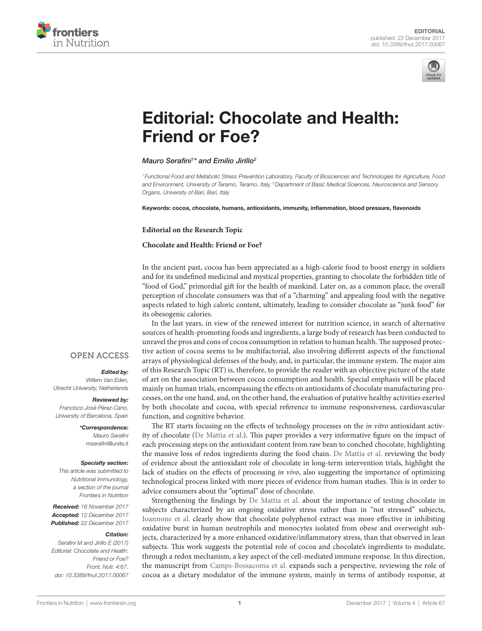



# [Editorial: Chocolate and Health:](https://www.frontiersin.org/Journal/10.3389/fnut.2017.00067/full)  [Friend or Foe?](https://www.frontiersin.org/Journal/10.3389/fnut.2017.00067/full)

## *[Mauro Serafini1](http://loop.frontiersin.org/people/164172) \* and [Emilio Jirillo2](http://loop.frontiersin.org/people/184540)*

*<sup>1</sup> Functional Food and Metabolic Stress Prevention Laboratory, Faculty of Biosciences and Technologies for Agriculture, Food and Environment, University of Teramo, Teramo, Italy, 2Department of Basic Medical Sciences, Neuroscience and Sensory Organs, University of Bari, Bari, Italy*

Keywords: cocoa, chocolate, humans, antioxidants, immunity, inflammation, blood pressure, flavonoids

### **Editorial on the Research Topic**

## **[Chocolate and Health: Friend or Foe?](https://www.frontiersin.org/researchtopic/5143)**

In the ancient past, cocoa has been appreciated as a high-calorie food to boost energy in soldiers and for its undefined medicinal and mystical properties, granting to chocolate the forbidden title of "food of God," primordial gift for the health of mankind. Later on, as a common place, the overall perception of chocolate consumers was that of a "charming" and appealing food with the negative aspects related to high caloric content, ultimately, leading to consider chocolate as "junk food" for its obesogenic calories.

In the last years, in view of the renewed interest for nutrition science, in search of alternative sources of health-promoting foods and ingredients, a large body of research has been conducted to unravel the pros and cons of cocoa consumption in relation to human health. The supposed protective action of cocoa seems to be multifactorial, also involving different aspects of the functional arrays of physiological defenses of the body, and, in particular, the immune system. The major aim of this Research Topic (RT) is, therefore, to provide the reader with an objective picture of the state of art on the association between cocoa consumption and health. Special emphasis will be placed mainly on human trials, encompassing the effects on antioxidants of chocolate manufacturing processes, on the one hand, and, on the other hand, the evaluation of putative healthy activities exerted by both chocolate and cocoa, with special reference to immune responsiveness, cardiovascular function, and cognitive behavior.

The RT starts focusing on the effects of technology processes on the *in vitro* antioxidant activity of chocolate ([De Mattia et al.\)](https://doi.org/10.3389/fimmu.2017.01207). This paper provides a very informative figure on the impact of each processing steps on the antioxidant content from raw bean to conched chocolate, highlighting the massive loss of redox ingredients during the food chain. [De Mattia et al.](https://doi.org/10.3389/fimmu.2017.01207) reviewing the body of evidence about the antioxidant role of chocolate in long-term intervention trials, highlight the lack of studies on the effects of processing *in vivo*, also suggesting the importance of optimizing technological process linked with more pieces of evidence from human studies. This is in order to advice consumers about the "optimal" dose of chocolate.

Strengthening the findings by [De Mattia et al.](https://doi.org/10.3389/fimmu.2017.01207) about the importance of testing chocolate in subjects characterized by an ongoing oxidative stress rather than in "not stressed" subjects, [Ioannone et al.](https://doi.org/10.3389/fnut.2017.00023) clearly show that chocolate polyphenol extract was more effective in inhibiting oxidative burst in human neutrophils and monocytes isolated from obese and overweight subjects, characterized by a more enhanced oxidative/inflammatory stress, than that observed in lean subjects. This work suggests the potential role of cocoa and chocolate's ingredients to modulate, through a redox mechanism, a key aspect of the cell-mediated immune response. In this direction, the manuscript from [Camps-Bossacoma et al.](https://doi.org/10.3389/fnut.2017.00028) expands such a perspective, reviewing the role of cocoa as a dietary modulator of the immune system, mainly in terms of antibody response, at

# **OPEN ACCESS**

#### *Edited by:*

*Willem Van Eden, Utrecht University, Netherlands*

#### *Reviewed by:*

*Francisco José Pérez-Cano, University of Barcelona, Spain*

#### *\*Correspondence:*

*Mauro Serafini [mserafini@unite.it](mailto:mserafini@unite.it)*

#### *Specialty section:*

*This article was submitted to Nutritional Immunology, a section of the journal Frontiers in Nutrition*

*Received: 16 November 2017 Accepted: 12 December 2017 Published: 22 December 2017*

#### *Citation:*

*Serafini M and Jirillo E (2017) Editorial: Chocolate and Health: Friend or Foe? Front. Nutr. 4:67. doi: [10.3389/fnut.2017.00067](https://doi.org/10.3389/fnut.2017.00067)*